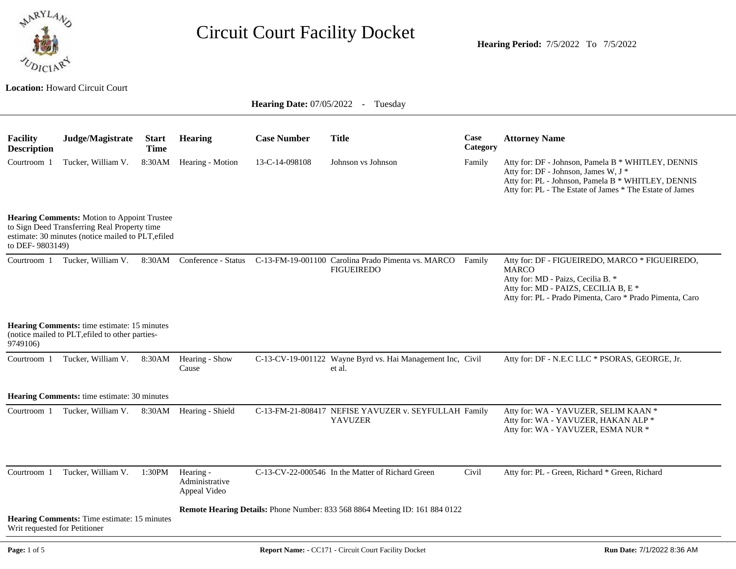

**Hearing Period:** 7/5/2022 To 7/5/2022

#### **Location:** Howard Circuit Court

|                                                                                                                                                                             |                                                                                                                                                                    |                             | <b>Hearing Date:</b> 07/05/2022 - Tuesday   |                    |                                                                                |                  |                                                                                                                                                                                                              |  |  |
|-----------------------------------------------------------------------------------------------------------------------------------------------------------------------------|--------------------------------------------------------------------------------------------------------------------------------------------------------------------|-----------------------------|---------------------------------------------|--------------------|--------------------------------------------------------------------------------|------------------|--------------------------------------------------------------------------------------------------------------------------------------------------------------------------------------------------------------|--|--|
| <b>Facility</b><br><b>Description</b>                                                                                                                                       | Judge/Magistrate                                                                                                                                                   | <b>Start</b><br><b>Time</b> | <b>Hearing</b>                              | <b>Case Number</b> | <b>Title</b>                                                                   | Case<br>Category | <b>Attorney Name</b>                                                                                                                                                                                         |  |  |
| Courtroom 1                                                                                                                                                                 | Tucker, William V.                                                                                                                                                 | 8:30AM                      | Hearing - Motion                            | 13-C-14-098108     | Johnson vs Johnson                                                             | Family           | Atty for: DF - Johnson, Pamela B * WHITLEY, DENNIS<br>Atty for: DF - Johnson, James W, J *<br>Atty for: PL - Johnson, Pamela B * WHITLEY, DENNIS<br>Atty for: PL - The Estate of James * The Estate of James |  |  |
| <b>Hearing Comments:</b> Motion to Appoint Trustee<br>to Sign Deed Transferring Real Property time<br>estimate: 30 minutes (notice mailed to PLT, efiled<br>to DEF-9803149) |                                                                                                                                                                    |                             |                                             |                    |                                                                                |                  |                                                                                                                                                                                                              |  |  |
| Courtroom 1                                                                                                                                                                 | Tucker, William V.                                                                                                                                                 |                             | 8:30AM Conference - Status                  |                    | C-13-FM-19-001100 Carolina Prado Pimenta vs. MARCO Family<br><b>FIGUEIREDO</b> |                  | Atty for: DF - FIGUEIREDO, MARCO * FIGUEIREDO,<br><b>MARCO</b><br>Atty for: MD - Paizs, Cecilia B. *<br>Atty for: MD - PAIZS, CECILIA B, E *<br>Atty for: PL - Prado Pimenta, Caro * Prado Pimenta, Caro     |  |  |
| 9749106)                                                                                                                                                                    | <b>Hearing Comments:</b> time estimate: 15 minutes<br>(notice mailed to PLT, efiled to other parties-                                                              |                             |                                             |                    |                                                                                |                  |                                                                                                                                                                                                              |  |  |
| Courtroom 1                                                                                                                                                                 | Tucker, William V.                                                                                                                                                 | 8:30AM                      | Hearing - Show<br>Cause                     |                    | C-13-CV-19-001122 Wayne Byrd vs. Hai Management Inc, Civil<br>et al.           |                  | Atty for: DF - N.E.C LLC * PSORAS, GEORGE, Jr.                                                                                                                                                               |  |  |
|                                                                                                                                                                             | Hearing Comments: time estimate: 30 minutes                                                                                                                        |                             |                                             |                    |                                                                                |                  |                                                                                                                                                                                                              |  |  |
| Courtroom 1                                                                                                                                                                 | Tucker, William V.                                                                                                                                                 |                             | 8:30AM Hearing - Shield                     |                    | C-13-FM-21-808417 NEFISE YAVUZER v. SEYFULLAH Family<br><b>YAVUZER</b>         |                  | Atty for: WA - YAVUZER, SELIM KAAN *<br>Atty for: WA - YAVUZER, HAKAN ALP *<br>Atty for: WA - YAVUZER, ESMA NUR *                                                                                            |  |  |
| Courtroom 1                                                                                                                                                                 | Tucker, William V.                                                                                                                                                 | 1:30PM                      | Hearing -<br>Administrative<br>Appeal Video |                    | C-13-CV-22-000546 In the Matter of Richard Green                               | Civil            | Atty for: PL - Green, Richard * Green, Richard                                                                                                                                                               |  |  |
|                                                                                                                                                                             | <b>Remote Hearing Details:</b> Phone Number: 833 568 8864 Meeting ID: 161 884 0122<br>Hearing Comments: Time estimate: 15 minutes<br>Writ requested for Petitioner |                             |                                             |                    |                                                                                |                  |                                                                                                                                                                                                              |  |  |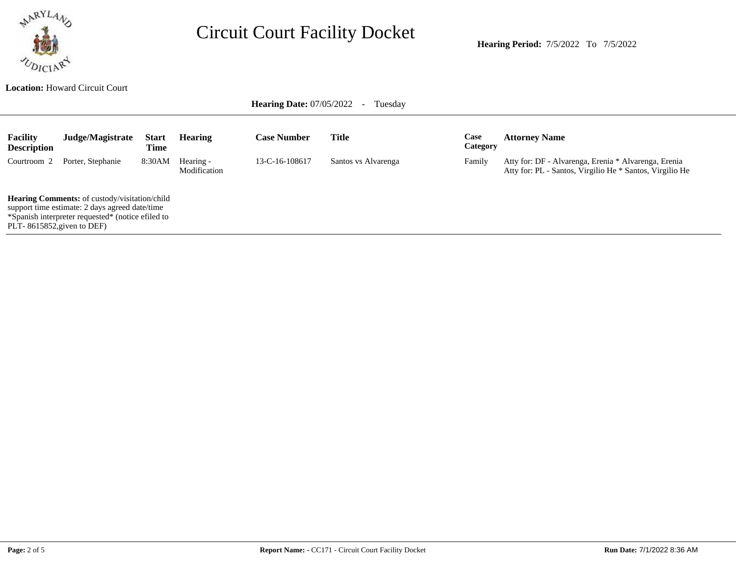

**Hearing Period:** 7/5/2022 To 7/5/2022

**Location:** Howard Circuit Court

**Hearing Date: 07/05/2022 - Tuesday** 

| <b>Facility</b><br><b>Description</b>                                                                                                                                                         | Judge/Magistrate  | <b>Start</b><br>Time | <b>Hearing</b>            | <b>Case Number</b> | Title               | Case<br><b>Category</b> | <b>Attorney Name</b>                                                                                             |
|-----------------------------------------------------------------------------------------------------------------------------------------------------------------------------------------------|-------------------|----------------------|---------------------------|--------------------|---------------------|-------------------------|------------------------------------------------------------------------------------------------------------------|
| Courtroom 2                                                                                                                                                                                   | Porter, Stephanie | 8:30AM               | Hearing -<br>Modification | 13-C-16-108617     | Santos vs Alvarenga | Family                  | Atty for: DF - Alvarenga, Erenia * Alvarenga, Erenia<br>Atty for: PL - Santos, Virgilio He * Santos, Virgilio He |
| <b>Hearing Comments:</b> of custody/visitation/child<br>support time estimate: 2 days agreed date/time<br>*Spanish interpreter requested* (notice efiled to<br>PLT- $8615852$ , given to DEF) |                   |                      |                           |                    |                     |                         |                                                                                                                  |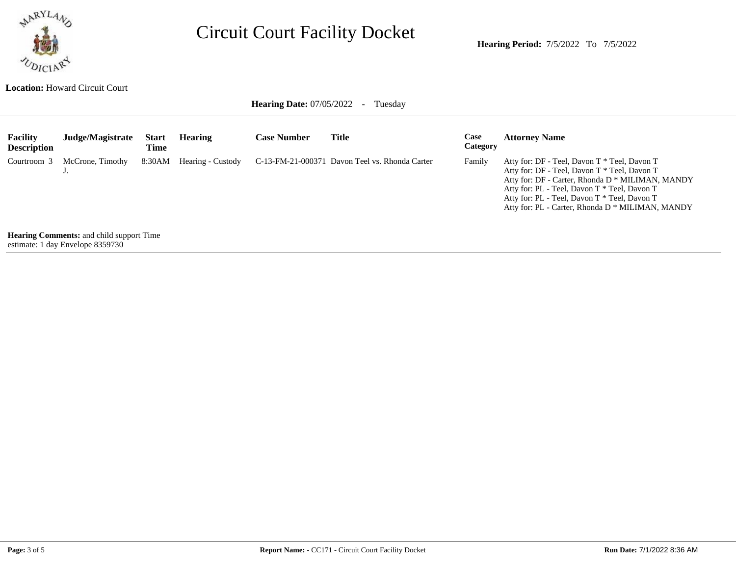

**Location:** Howard Circuit Court

**Hearing Date: 07/05/2022 - Tuesday** 

| <b>Facility</b><br><b>Description</b>    | Judge/Magistrate | <b>Start</b><br>Time | <b>Hearing</b>    | <b>Case Number</b> | <b>Title</b>                                   | Case<br>Category | <b>Attorney Name</b>                                                                                                                                                                                                                                                                                 |  |  |
|------------------------------------------|------------------|----------------------|-------------------|--------------------|------------------------------------------------|------------------|------------------------------------------------------------------------------------------------------------------------------------------------------------------------------------------------------------------------------------------------------------------------------------------------------|--|--|
| Courtroom 3                              | McCrone, Timothy | 8:30AM               | Hearing - Custody |                    | C-13-FM-21-000371 Davon Teel vs. Rhonda Carter | Family           | Atty for: DF - Teel, Davon T * Teel, Davon T<br>Atty for: DF - Teel, Davon T * Teel, Davon T<br>Atty for: DF - Carter, Rhonda D * MILIMAN, MANDY<br>Atty for: PL - Teel, Davon T * Teel, Davon T<br>Atty for: PL - Teel, Davon T * Teel, Davon T<br>Atty for: PL - Carter, Rhonda D * MILIMAN, MANDY |  |  |
| Hearing Comments, and child support Time |                  |                      |                   |                    |                                                |                  |                                                                                                                                                                                                                                                                                                      |  |  |

**Henis:** and child support Time estimate: 1 day Envelope 8359730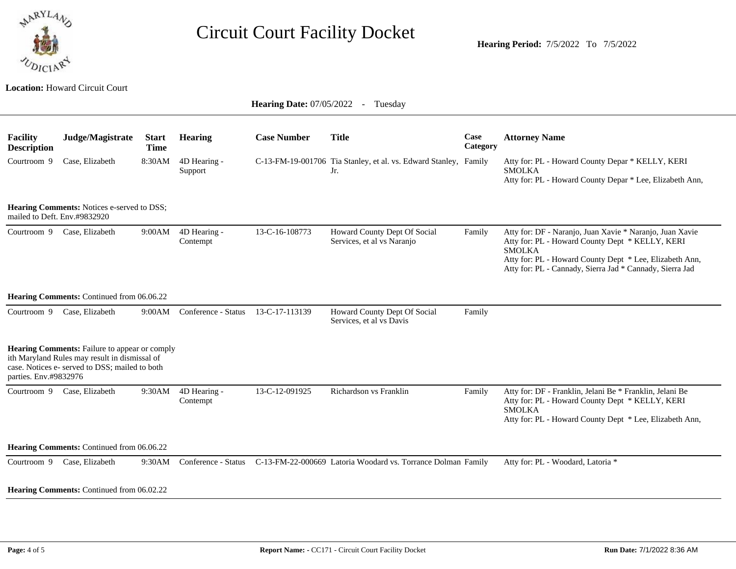

**Location:** Howard Circuit Court

**Hearing Date: 07/05/2022 - Tuesday** 

| <b>Facility</b><br><b>Description</b>                                                                                                                                     | Judge/Magistrate                                 | <b>Start</b><br><b>Time</b> | <b>Hearing</b>           | <b>Case Number</b> | <b>Title</b>                                                            | Case<br>Category | <b>Attorney Name</b>                                                                                                                                                                                                                                |  |  |
|---------------------------------------------------------------------------------------------------------------------------------------------------------------------------|--------------------------------------------------|-----------------------------|--------------------------|--------------------|-------------------------------------------------------------------------|------------------|-----------------------------------------------------------------------------------------------------------------------------------------------------------------------------------------------------------------------------------------------------|--|--|
| Courtroom 9                                                                                                                                                               | Case, Elizabeth                                  | 8:30AM                      | 4D Hearing -<br>Support  |                    | C-13-FM-19-001706 Tia Stanley, et al. vs. Edward Stanley, Family<br>Jr. |                  | Atty for: PL - Howard County Depar * KELLY, KERI<br><b>SMOLKA</b><br>Atty for: PL - Howard County Depar * Lee, Elizabeth Ann,                                                                                                                       |  |  |
| Hearing Comments: Notices e-served to DSS;<br>mailed to Deft. Env.#9832920                                                                                                |                                                  |                             |                          |                    |                                                                         |                  |                                                                                                                                                                                                                                                     |  |  |
| Courtroom 9                                                                                                                                                               | Case, Elizabeth                                  | 9:00AM                      | 4D Hearing -<br>Contempt | 13-C-16-108773     | Howard County Dept Of Social<br>Services, et al vs Naranjo              | Family           | Atty for: DF - Naranjo, Juan Xavie * Naranjo, Juan Xavie<br>Atty for: PL - Howard County Dept * KELLY, KERI<br><b>SMOLKA</b><br>Atty for: PL - Howard County Dept * Lee, Elizabeth Ann,<br>Atty for: PL - Cannady, Sierra Jad * Cannady, Sierra Jad |  |  |
| Hearing Comments: Continued from 06.06.22                                                                                                                                 |                                                  |                             |                          |                    |                                                                         |                  |                                                                                                                                                                                                                                                     |  |  |
| Courtroom 9                                                                                                                                                               | Case, Elizabeth                                  | 9:00AM                      | Conference - Status      | 13-C-17-113139     | Howard County Dept Of Social<br>Services, et al vs Davis                | Family           |                                                                                                                                                                                                                                                     |  |  |
| Hearing Comments: Failure to appear or comply<br>ith Maryland Rules may result in dismissal of<br>case. Notices e- served to DSS; mailed to both<br>parties. Env.#9832976 |                                                  |                             |                          |                    |                                                                         |                  |                                                                                                                                                                                                                                                     |  |  |
| Courtroom 9                                                                                                                                                               | Case, Elizabeth                                  | 9:30AM                      | 4D Hearing -<br>Contempt | 13-C-12-091925     | Richardson vs Franklin                                                  | Family           | Atty for: DF - Franklin, Jelani Be * Franklin, Jelani Be<br>Atty for: PL - Howard County Dept * KELLY, KERI<br><b>SMOLKA</b><br>Atty for: PL - Howard County Dept * Lee, Elizabeth Ann,                                                             |  |  |
| Hearing Comments: Continued from 06.06.22                                                                                                                                 |                                                  |                             |                          |                    |                                                                         |                  |                                                                                                                                                                                                                                                     |  |  |
| Courtroom 9                                                                                                                                                               | Case, Elizabeth                                  | 9:30AM                      | Conference - Status      |                    | C-13-FM-22-000669 Latoria Woodard vs. Torrance Dolman Family            |                  | Atty for: PL - Woodard, Latoria *                                                                                                                                                                                                                   |  |  |
|                                                                                                                                                                           | <b>Hearing Comments:</b> Continued from 06.02.22 |                             |                          |                    |                                                                         |                  |                                                                                                                                                                                                                                                     |  |  |